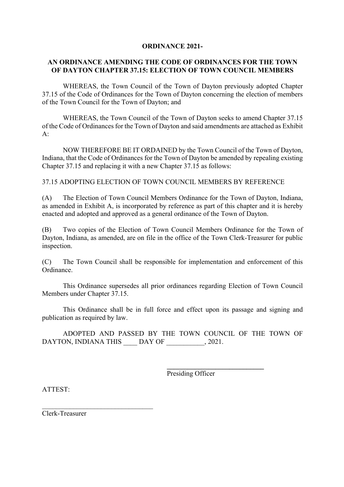## **ORDINANCE 2021-**

## **AN ORDINANCE AMENDING THE CODE OF ORDINANCES FOR THE TOWN OF DAYTON CHAPTER 37.15: ELECTION OF TOWN COUNCIL MEMBERS**

WHEREAS, the Town Council of the Town of Dayton previously adopted Chapter 37.15 of the Code of Ordinances for the Town of Dayton concerning the election of members of the Town Council for the Town of Dayton; and

WHEREAS, the Town Council of the Town of Dayton seeks to amend Chapter 37.15 of the Code of Ordinances for the Town of Dayton and said amendments are attached as Exhibit  $A$ :

NOW THEREFORE BE IT ORDAINED by the Town Council of the Town of Dayton, Indiana, that the Code of Ordinances for the Town of Dayton be amended by repealing existing Chapter 37.15 and replacing it with a new Chapter 37.15 as follows:

37.15 ADOPTING ELECTION OF TOWN COUNCIL MEMBERS BY REFERENCE

(A) The Election of Town Council Members Ordinance for the Town of Dayton, Indiana, as amended in Exhibit A, is incorporated by reference as part of this chapter and it is hereby enacted and adopted and approved as a general ordinance of the Town of Dayton.

(B) Two copies of the Election of Town Council Members Ordinance for the Town of Dayton, Indiana, as amended, are on file in the office of the Town Clerk-Treasurer for public inspection.

(C) The Town Council shall be responsible for implementation and enforcement of this Ordinance.

This Ordinance supersedes all prior ordinances regarding Election of Town Council Members under Chapter 37.15.

This Ordinance shall be in full force and effect upon its passage and signing and publication as required by law.

ADOPTED AND PASSED BY THE TOWN COUNCIL OF THE TOWN OF DAYTON, INDIANA THIS DAY OF , 2021.

Presiding Officer

**\_\_\_\_\_\_\_\_\_\_\_\_\_\_\_\_\_\_\_\_\_\_\_\_\_\_\_\_**

ATTEST:

Clerk-Treasurer